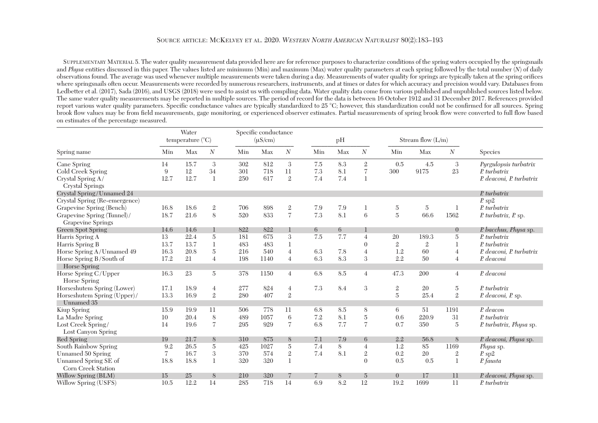## SOURCE ARTICLE: MCKELVEY ET AL. 2020. *WESTERN NORTH AMERICAN NATURALIST* 80(2):183–193

 SUPPLEMENTARY MATERIAL 5. The water quality measurement data provided here are for reference purposes to characterize conditions of the spring waters occupied by the springsnails and *Physa* entities discussed in this paper. The values listed are minimum (Min) and maximum (Max) water quality parameters at each spring followed by the total number (*N*) of daily observations found. The average was used whenever multiple measurements were taken during a day. Measurements of water quality for springs are typically taken at the spring orifices where springsnails often occur. Measurements were recorded by numerous researchers, instruments, and at times or dates for which accuracy and precision would vary. Databases from Ledbetter et al. (2017), Sada (2016), and USGS (2018) were used to assist us with compiling data. Water quality data come from various published and unpublished sources listed below. The same water quality measurements may be reported in multiple sources. The period of record for the data is between 16 October 1912 and 31 December 2017. References provided report various water quality parameters. Specific conductance values are typically standardized to 25 °C; however, this standardization could not be confirmed for all sources. Spring brook flow values may be from field measurements, gage monitoring, or experienced observer estimates. Partial measurements of spring brook flow were converted to full flow based on estimates of the percentage measured.

|                                                        | Water<br>temperature (°C) |      |                  |     | Specific conductance<br>$(\mu S/cm)$ |                |     | pH  |                |                | Stream flow $(L/m)$ |                |                          |
|--------------------------------------------------------|---------------------------|------|------------------|-----|--------------------------------------|----------------|-----|-----|----------------|----------------|---------------------|----------------|--------------------------|
| Spring name                                            | Min                       | Max  | $\boldsymbol{N}$ | Min | Max                                  | N              | Min | Max | $\mathcal N$   | Min            | Max                 | N              | <b>Species</b>           |
| Cane Spring                                            | 14                        | 15.7 | 3                | 302 | 812                                  | 3              | 7.5 | 8.3 | $\mathbf{2}$   | 0.5            | 4.5                 | 3              | Pyrgulopsis turbatrix    |
| Cold Creek Spring                                      | 9                         | 12   | 34               | 301 | 718                                  | 11             | 7.3 | 8.1 | $\overline{7}$ | 300            | 9175                | 23             | P. turbatrix             |
| Crystal Spring A/<br><b>Crystal Springs</b>            | 12.7                      | 12.7 | $\mathbf{1}$     | 250 | 617                                  | $\mathbf{2}$   | 7.4 | 7.4 | $\mathbf{1}$   |                |                     |                | P. deaconi, P. turbatrix |
| Crystal Spring/Unnamed 24                              |                           |      |                  |     |                                      |                |     |     |                |                |                     |                | P. turbatrix             |
| Crystal Spring (Re-emergence)                          |                           |      |                  |     |                                      |                |     |     |                |                |                     |                | $P$ sp2                  |
| Grapevine Spring (Bench)                               | 16.8                      | 18.6 | $\,2$            | 706 | 898                                  | $\sqrt{2}$     | 7.9 | 7.9 | 1              | $\bf 5$        | $\overline{5}$      | 1              | P. turbatrix             |
| Grapevine Spring (Tunnel)/<br><b>Grapevine Springs</b> | 18.7                      | 21.6 | 8                | 520 | 833                                  | $\overline{7}$ | 7.3 | 8.1 | 6              | $\overline{5}$ | 66.6                | 1562           | P. turbatrix, P. sp.     |
| <b>Green Spot Spring</b>                               | 14.6                      | 14.6 |                  | 822 | 822                                  |                | 6   | 6   |                |                |                     | $\overline{0}$ | P. bacchus, Physa sp.    |
| Harris Spring A                                        | 13                        | 22.4 | $\overline{5}$   | 181 | 675                                  | 3              | 7.5 | 7.7 | $\overline{4}$ | 20             | 189.3               | 5              | P. turbatrix             |
| Harris Spring B                                        | 13.7                      | 13.7 |                  | 483 | 483                                  | 1              |     |     | $\theta$       | $\mathbf{2}$   | $\mathfrak{2}$      | 1              | P. turbatrix             |
| Horse Spring A/Unnamed 49                              | 16.3                      | 20.8 | $\overline{5}$   | 216 | 540                                  | $\overline{4}$ | 6.3 | 7.8 | $\overline{4}$ | 1.2            | 60                  | $\overline{4}$ | P. deaconi, P. turbatrix |
| Horse Spring B/South of<br>Horse Spring                | 17.2                      | 21   | $\overline{4}$   | 198 | 1140                                 | $\overline{4}$ | 6.3 | 8.3 | $\mathfrak{Z}$ | 2.2            | 50                  | $\overline{4}$ | P. deaconi               |
| Horse Spring C/Upper<br>Horse Spring                   | 16.3                      | 23   | $\overline{5}$   | 378 | 1150                                 | $\overline{4}$ | 6.8 | 8.5 | $\overline{4}$ | 47.3           | 200                 | $\overline{4}$ | P. deaconi               |
| Horseshutem Spring (Lower)                             | 17.1                      | 18.9 | $\overline{4}$   | 277 | 824                                  | $\overline{4}$ | 7.3 | 8.4 | 3              | $\,2$          | 20                  | 5              | P. turbatrix             |
| Horseshutem Spring (Upper)/<br>Unnamed 35              | 13.3                      | 16.9 | $\overline{2}$   | 280 | 407                                  | $\mathbf{2}$   |     |     |                | $\overline{5}$ | 25.4                | $\overline{2}$ | P. deaconi, P. sp.       |
| Kiup Spring                                            | 15.9                      | 19.9 | 11               | 506 | 778                                  | 11             | 6.8 | 8.5 | 8              | 6              | 51                  | 1191           | P. deacon                |
| La Madre Spring                                        | 10                        | 20.4 | 8                | 489 | 1057                                 | 6              | 7.2 | 8.1 | $\rm 5$        | 0.6            | 220.9               | 31             | $P$ turbatrix            |
| Lost Creek Spring/<br>Lost Canyon Spring               | 14                        | 19.6 | $\overline{7}$   | 295 | 929                                  | $\overline{7}$ | 6.8 | 7.7 | $\overline{7}$ | 0.7            | 350                 | 5              | P. turbatrix, Physa sp.  |
| Red Spring                                             | 19                        | 21.7 | 8                | 310 | 875                                  | 8              | 7.1 | 7.9 | 6              | 2.2            | 56.8                | 8              | P. deaconi, Physa sp.    |
| South Rainbow Spring                                   | 9.2                       | 26.5 | $\overline{5}$   | 425 | 1027                                 | $\overline{5}$ | 7.4 | 8   | $\overline{4}$ | 1.2            | 85                  | 1169           | <i>Physa</i> sp.         |
| Unnamed 50 Spring                                      | $\overline{7}$            | 16.7 | 3                | 370 | 574                                  | $\sqrt{2}$     | 7.4 | 8.1 | $\mathbf{2}$   | 0.2            | 20                  | $\sqrt{2}$     | $P$ sp $2$               |
| Unnamed Spring SE of<br>Corn Creek Station             | 18.8                      | 18.8 | $\mathbf{1}$     | 320 | 320                                  | $\mathbf{1}$   |     |     | $\theta$       | 0.5            | 0.5                 | $\mathbf{1}$   | P. fausta                |
| Willow Spring (BLM)                                    | 15                        | 25   | 8                | 210 | 320                                  |                |     | 8   | $\overline{5}$ | $\overline{0}$ | 17                  | 11             | P. deaconi, Physa sp.    |
| Willow Spring (USFS)                                   | 10.5                      | 12.2 | 14               | 285 | 718                                  | 14             | 6.9 | 8.2 | 12             | 19.2           | 1699                | 11             | P. turbatrix             |